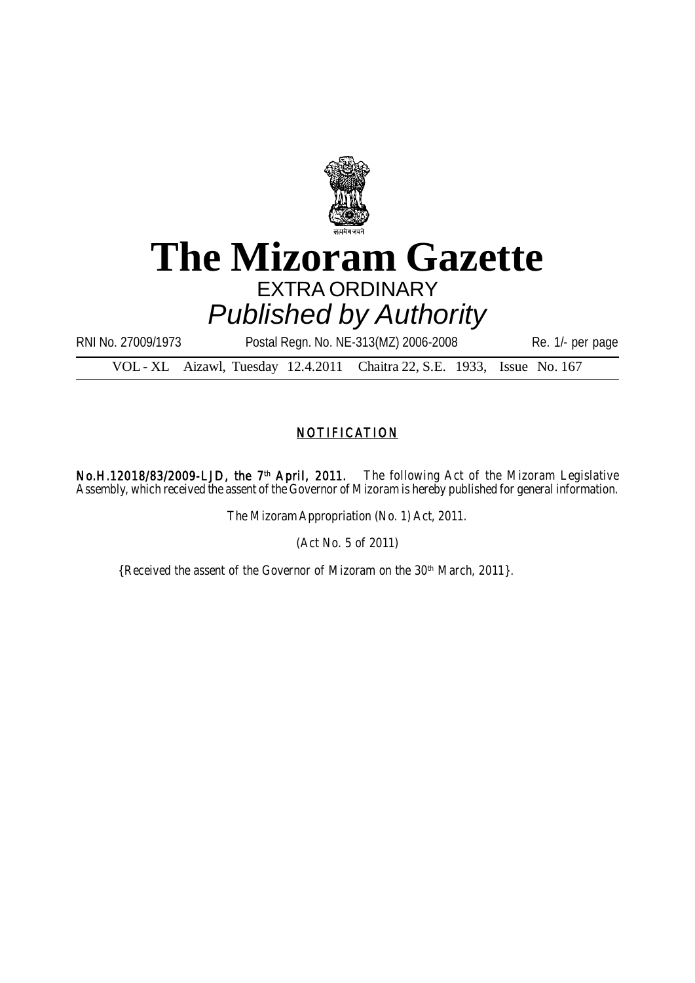

# **The Mizoram Gazette** EXTRA ORDINARY *Published by Authority*

RNI No. 27009/1973 Postal Regn. No. NE-313(MZ) 2006-2008 Re. 1/- per page

VOL - XL Aizawl, Tuesday 12.4.2011 Chaitra 22, S.E. 1933, Issue No. 167

# **NOTIFICATION**

No.H.12018/83/2009-LJD, the 7<sup>th</sup> April, 2011. The following Act of the Mizoram Legislative Assembly, which received the assent of the Governor of Mizoram is hereby published for general information.

The Mizoram Appropriation (No. 1) Act, 2011.

(Act No. 5 of 2011)

{Received the assent of the Governor of Mizoram on the 30<sup>th</sup> March, 2011}.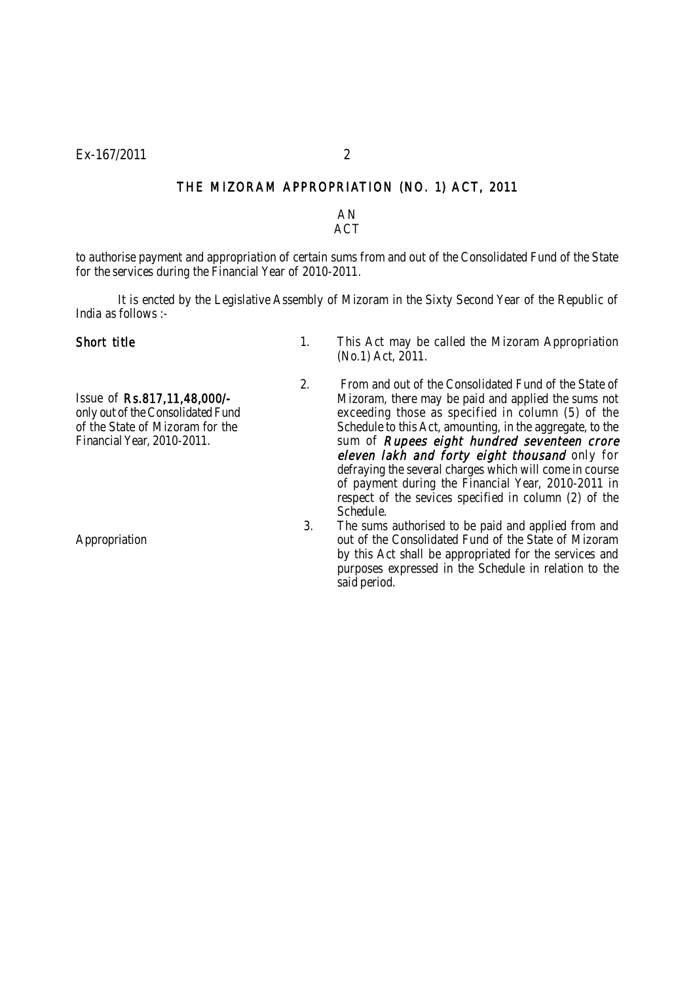### THE MIZORAM APPROPRIATION (NO. 1) ACT, 2011

AN ACT

to authorise payment and appropriation of certain sums from and out of the Consolidated Fund of the State for the services during the Financial Year of 2010-2011.

It is encted by the Legislative Assembly of Mizoram in the Sixty Second Year of the Republic of India as follows :-

Short title 1. This Act may be called the Mizoram Appropriation (No.1) Act, 2011.

Issue of Rs.817,11,48,000/ only out of the Consolidated Fund of the State of Mizoram for the Financial Year, 2010-2011.

Appropriation

- 2. From and out of the Consolidated Fund of the State of Mizoram, there may be paid and applied the sums not exceeding those as specified in column (5) of the Schedule to this Act, amounting, in the aggregate, to the sum of *Rupees eight hundred seventeen crore* eleven lakh and forty eight thousand only for defraying the several charges which will come in course of payment during the Financial Year, 2010-2011 in respect of the sevices specified in column (2) of the Schedule.
- 3. The sums authorised to be paid and applied from and out of the Consolidated Fund of the State of Mizoram by this Act shall be appropriated for the services and purposes expressed in the Schedule in relation to the said period.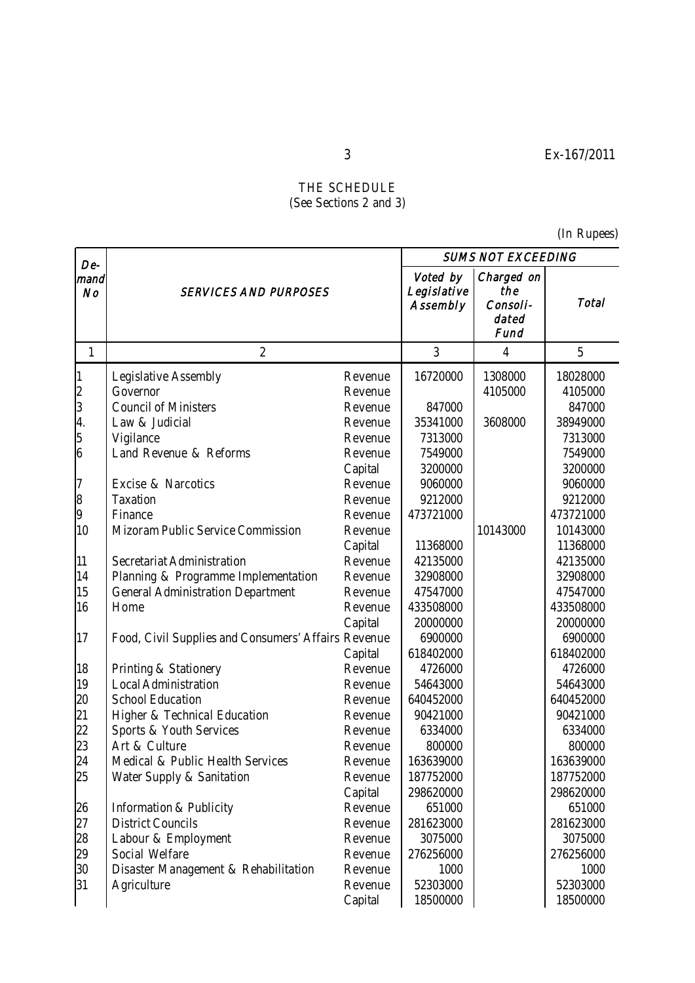## THE SCHEDULE (See Sections 2 and 3)

(In Rupees)

| De-          |                                                     |         | <b>SUMS NOT EXCEEDING</b>           |                                                |              |  |
|--------------|-----------------------------------------------------|---------|-------------------------------------|------------------------------------------------|--------------|--|
| mand<br>No   | <b>SERVICES AND PURPOSES</b>                        |         | Voted by<br>Legislative<br>Assembly | Charged on<br>the<br>Consoli-<br>dated<br>Fund | <b>Total</b> |  |
| 1            | $\overline{2}$                                      |         | 3                                   | $\overline{4}$                                 | 5            |  |
| 1            | Legislative Assembly                                | Revenue | 16720000                            | 1308000                                        | 18028000     |  |
|              | Governor                                            | Revenue |                                     | 4105000                                        | 4105000      |  |
| 2<br>3<br>4. | <b>Council of Ministers</b>                         | Revenue | 847000                              |                                                | 847000       |  |
|              | Law & Judicial                                      | Revenue | 35341000                            | 3608000                                        | 38949000     |  |
|              | Vigilance                                           | Revenue | 7313000                             |                                                | 7313000      |  |
| 5<br>6       | Land Revenue & Reforms                              | Revenue | 7549000                             |                                                | 7549000      |  |
|              |                                                     | Capital | 3200000                             |                                                | 3200000      |  |
|              | Excise & Narcotics                                  | Revenue | 9060000                             |                                                | 9060000      |  |
|              | Taxation                                            | Revenue | 9212000                             |                                                | 9212000      |  |
| 7<br>8<br>9  | Finance                                             | Revenue | 473721000                           |                                                | 473721000    |  |
| 10           | Mizoram Public Service Commission                   | Revenue |                                     | 10143000                                       | 10143000     |  |
|              |                                                     | Capital | 11368000                            |                                                | 11368000     |  |
| 11           | Secretariat Administration                          | Revenue | 42135000                            |                                                | 42135000     |  |
| 14           | Planning & Programme Implementation                 | Revenue | 32908000                            |                                                | 32908000     |  |
| 15           | <b>General Administration Department</b>            | Revenue | 47547000                            |                                                | 47547000     |  |
| 16           | Home                                                | Revenue | 433508000                           |                                                | 433508000    |  |
|              |                                                     | Capital | 20000000                            |                                                | 20000000     |  |
| 17           | Food, Civil Supplies and Consumers' Affairs Revenue |         | 6900000                             |                                                | 6900000      |  |
|              |                                                     | Capital | 618402000                           |                                                | 618402000    |  |
| 18           | Printing & Stationery                               | Revenue | 4726000                             |                                                | 4726000      |  |
| 19           | <b>Local Administration</b>                         | Revenue | 54643000                            |                                                | 54643000     |  |
| 20           | <b>School Education</b>                             | Revenue | 640452000                           |                                                | 640452000    |  |
| 21           | Higher & Technical Education                        | Revenue | 90421000                            |                                                | 90421000     |  |
| 22           | Sports & Youth Services                             | Revenue | 6334000                             |                                                | 6334000      |  |
| 23           | Art & Culture                                       | Revenue | 800000                              |                                                | 800000       |  |
| 24           | Medical & Public Health Services                    | Revenue | 163639000                           |                                                | 163639000    |  |
| 25           | Water Supply & Sanitation                           | Revenue | 187752000                           |                                                | 187752000    |  |
|              |                                                     | Capital | 298620000                           |                                                | 298620000    |  |
| 26           | Information & Publicity                             | Revenue | 651000                              |                                                | 651000       |  |
| 27           | <b>District Councils</b>                            | Revenue | 281623000                           |                                                | 281623000    |  |
| 28           | Labour & Employment                                 | Revenue | 3075000                             |                                                | 3075000      |  |
| 29           | Social Welfare                                      | Revenue | 276256000                           |                                                | 276256000    |  |
| 30           | Disaster Management & Rehabilitation                | Revenue | 1000                                |                                                | 1000         |  |
| 31           | Agriculture                                         | Revenue | 52303000                            |                                                | 52303000     |  |
|              |                                                     | Capital | 18500000                            |                                                | 18500000     |  |